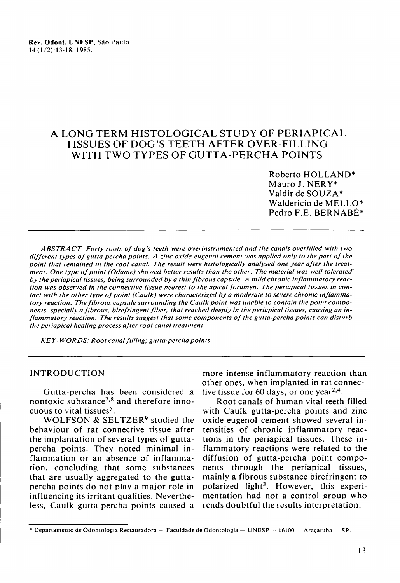# A LONG TERM HISTOLOGICAL STUDY OF PERIAPICAL TISSUES OF DOG'S TEETH AFTER OVER-FILLING WITH TWO TYPES OF GUTTA-PERCHA POINTS

Roberto HOLLAND\* Mauro J. NERy\* Valdir de SOUZA\* Walderício de MELLO\* Pedro F.E. BERNABÉ\*

*ABSTRA CT: Forty roots 01 dog's teeth were overinstrumented and the canais overlilled with two dillerent types 01 gutta-percha points. A zinc oxide-eugenol cement was applied only to the part 01 the point that remained in the root canal. The result were histologically analysed one year alter the treatment. One type 01 point (Odame) showed better results than the other. The material was well tolerated by the periapical tissues, being surrounded by a thin librous capsule. A mild chronic inllammatory reaction was observed in the connective tissue nearest to the apical loramen. The periapical tissues in contact with the other type 01 point (Caulk) were characterized by a moderate to severe chronic inllammatory reaction. The librous capsule surrounding the Caulk point was unable to contain the point components, specially a librous, birelringent liber. that reached deeply in the periapical tissues, causing an in-Ilammatory reaction. The results suggest that some components 01 the gutta-percha points can disturb the periapical healing process alter root canal treatment.*

*KEY- WORDS: Root canallilling; gutta-percha points.*

#### INTRODUCTION

Gutta-percha has been considered a nontoxic substance<sup>7,8</sup> and therefore innocuous to vital tissues<sup>5</sup>.

WOLFSON & SELTZER<sup>9</sup> studied the behaviour of rat connective tissue after the implantation of several types of guttapercha points. They noted minimal inflammation or an absence of inflammation, concluding that some substances that are usually aggregated to the guttapercha points do not play a major role in influencing its irritant qualities. Nevertheless, Caulk gutta-percha points caused a

more intense inflammatory reaction than other ones, when implanted in rat connective tissue for 60 days, or one year<sup>2,4</sup>.

Root canaIs of human vital teeth filled with Caulk gutta-percha points and zinc oxide-eugenol cement showed several intensities of chronic inflammatory reactions in the periapical tissues. These inflammatory reactions were related to the diffusion of gutta-percha point components through the periapical tissues, mainlya fibrous substance birefringent to polarized light<sup>3</sup>. However, this experimentation had not a control group who rends doubtful the results interpretation.

<sup>•</sup> Departamento de Odontologia Restauradora - Faculdade de Odontologia - UNESP - 16100 - Araçatuba - SP.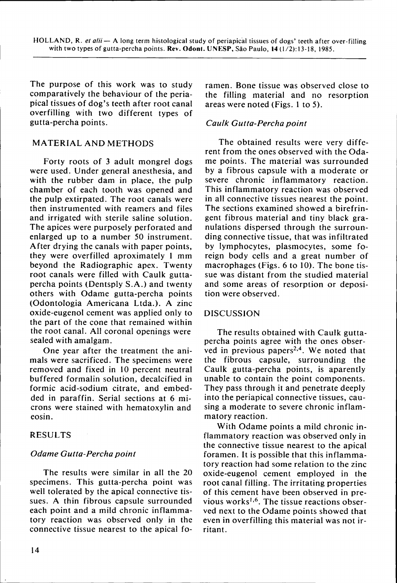The purpose of this work was to study comparatively the behaviour of the periapicai tissues of dog's teeth after root canal overfilling with two different types of gutta-percha points.

## MATERIAL AND METHODS

Forty roots of 3 adult mongrel dogs were used. Under general anesthesia, and with the rubber dam in place, the pulp chamber of each tooth was opened and the pulp extirpated. The root canals were then instrumented with reamers and files and irrigated with sterile saline solution. The apices were purposely perforated and enlarged up to a number 50 instrument. After drying the canaIs with paper points, they were overfilled aproximately 1 mm beyond the Radiographic apex. Twenty root canals were filled with Caulk guttapercha points (Dentsply S.A.) and twenty others with Odame gutta-percha points (Odontologia Americana Ltda.). A zinc oxide-eugenol cement was applied only to the part of the cone that remained within the root canal. AlI coronal openings were sealed with amalgam.

One year after the treatment the animais were sacrificed. The specimens were removed and fixed in 10 percent neutral buffered formalin solution, decalcified in formic acid-sodium citrate, and embedded in paraffin. Serial sections at 6 microns were stained with hematoxylin and eosin.

#### RESULTS

#### *Odame Gutta-Percha point*

The results were similar in alI the 20 specimens. This gutta-percha point was welI tolerated by the apical connective tissues. A thin fibrous capsule surrounded each point and a mild chronic inflammatory reaction was observed only in the connective tissue nearest to the apical foramen. Bone tissue was observed dose to the filling material and no resorption areas were noted (Figs. 1 to 5).

## *Caulk Gutta-Percha point*

The obtained results were very different from the ones observed with the Odame points. The material was surrounded by a fibrous capsule with a moderate or severe chronic inflammatory reaction. This inflammatory reaction was observed in alI connective tissues nearest the point. The sections examined showed a birefringent fibrous material and tiny black granulations dispersed through the surrounding connective tissue, that was infiltrated by Iymphocytes, plasmocytes, some foreign body celIs and a great number of macrophages (Figs. 6 to 10). The bone tissue was distant from the studied material and some areas of resorption or deposition were observed.

#### DISCUSSION

The results obtained with Caulk guttapercha points agree with the ones observed in previous papers<sup>2,4</sup>. We noted that the fibrous capsule, surrounding the Caulk gutta-percha points, is aparently unable to contain the point components. They pass through it and penetrate deeply into the periapical connective tissues, causing a moderate to severe chronic inflammatory reaction.

With Odame points a mild chronic inflammatory reaction was observed only in the connective tissue nearest to the apical foramen. It is possible that this inflammatory reaction had some relation to the zinc oxide-eugenol cement employed in the root canal filling. The irritating properties of this cement have been observed in previous works<sup>1,6</sup>. The tissue reactions observed next to the Odame points showed that even in overfilIing this material was not irritant.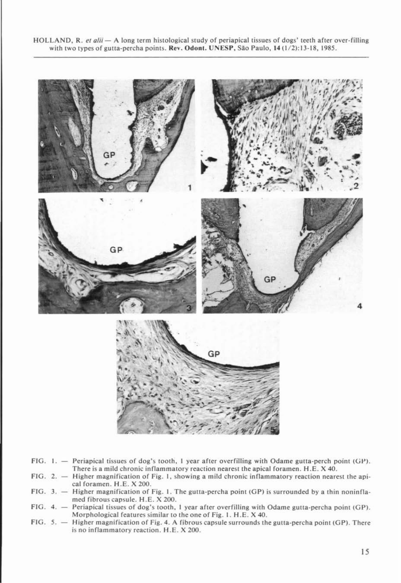HOLLAND, R. *et alii* - A long term histological study of periapical tissues of dogs' teeth after over-filling with two types of gutta-percha points. Rev. Odont. UNESP, São Paulo, 14 (1/2): 13-18, 1985.



FIG. I. Periapical tissues of dog's tooth, I year after overfilling with Odame gutta-perch point (GP). There is a mild chronic inflammatory reaction nearest the apical foramen. H .E. X 40.

- FIG. 2. Higher magnification of Fig. I, showing a mild chronic inflammatory reaction nearest the apical foramen. H.E. X 200.
- FIG. 3. Higher magnification of Fig. I. The gutta-percha point (GP) is surrounded by a thin noninflamed fibrous capsule. H .E. X 200.
- FIG. 4. Periapical tissues of dog's tooth, I year after overfilling with Odame gutta-percha point (GP). Morphological features similar to the one of Fig. I. H .E. X 40.
- FIG. 5. Higher magnification of Fig. 4. A fibrous capsule surrounds the gutta-percha point (GP). There is no inflammatory reaction. H.E. X 200.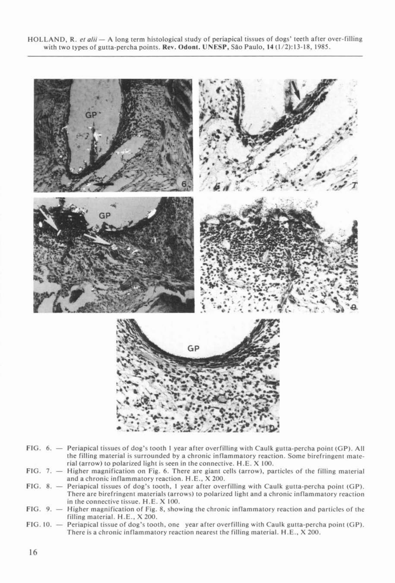HOLLAND, R. et alii - A long term histological study of periapical tissues of dogs' teeth after over-filling with two types of gutta-percha points. Rev. Odont. UNESP, São Paulo, 14 (1/2): 13-18, 1985.



- FIG. 6. Periapical tissues of dog's tooth 1 year after overfilling with Caulk gutta-percha point (GP). All the filling material is surrounded by a chronic inflammatory reaction. Some birefringent material (arrow) to polarized light is seen in the connective. H.E. X 100.
- FIG. 7. Higher magnification on Fig. 6. There are giant cells (arrow), particles of lhe filling material and a chronic inflammatory reaction. H .E., X 200.
- FIG. 8. Periapical tissues of dog's looth, I year after overfilling with Caulk gutta-percha point (GP). There are birefringent materiais (arrows) to polarized light and a chronic inflammatory reaction in the connective tissue. H.E. X 100.
- FIG. 9.  $-$  Higher magnification of Fig. 8, showing the chronic inflammatory reaction and particles of the filling material. H.E., X 200.
- FIG. 10. Periapical tissue of dog's tooth, one year after overfilling with Caulk gutta-percha point (GP). There is a chronic inflammatory reaction nearest the filling material. H.E., X 200.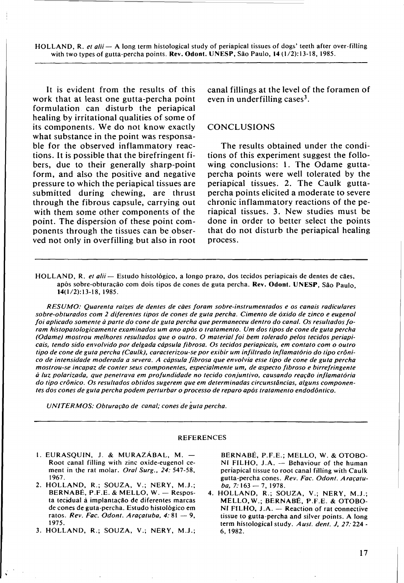HOLLAND, R. *et alii* - A long term histological study of periapical tissues of dogs' teeth afler over-filling with two types of gutta-percha points. Rev. Odont. UNESP, São Paulo, 14 (1/2):13-18, 1985.

It is evident from the results of this work that at least one gutta-percha point formulation can disturb the periapical healing by irritational qualities of some of its components. We do not know exactly what substance in the point was responsable for the observed inflammatory reactions. It is possible that the birefringent fibers, due to their generally sharp-point form, and also the positive and negative pressure to which the periapical tissues are submitted during chewing, are thrust through the fibrous capsule, carrying out with them some other components of the point. The dispersion of these point components through the tissues can be observed not only in overfilling but also in root

canal fillings at the levei of the foramen of even in underfilling cases $3$ .

#### **CONCLUSIONS**

The results obtained under the conditions of this experiment suggest the following conclusions: 1. The Odame guttapercha points were well tolerated by the periapical tissues. 2. The Caulk guttapercha points elicited a moderate to severe chronic inflammatory reactions of the periapical tissues. 3. New studies must be done in order to better select the points that do not disturb the periapical healing process.

HOLLAND, R. *et alii* - Estudo histológico, a longo prazo, dos tecidos periapicais de dentes de cães, após sobre-obturação com dois tipos de cones de guta percha. Rev. Odont. UNESP, São Paulo, 14(\12):13-18,1985.

*RESUMO: Quarenta raízes de dentes de cães foram sobre-instrumentados e* os *canais radiculares sobre-obturados com* 2 *diferentes tipos de cones de guta percha. Cimento de óxido de zinco e eugenol foi aplicado somente à parte do cone de guta percha que permaneceu dentro do canal.* Os *resultados foram histopatologicamente examinados um ano após* o *tratamento. Um dos tipos de cone de guta percha (Odame) mostrou melhores resultados que* o *outro.* O *material foi bem tolerado pelos tecidos periapicais, tendo sido envolvido por delgada cápsula fibrosa.* Os *tecidos periapicais, em contato com* o *outro tipo de cone de guta percha (Caulk), caracterizou-se por exibir um infiltrado inflamatório do tipo crôni*co *de intensidade moderada.a severa. A cápsula fibrosa que envolvia esse tipo de cone de guta percha mostrou-se incapaz de conter seus componentes, especialmente um, de aspecto fibroso e birrefringente à luz polarizada, que penetrava em profundidade no tecido conjuntivo, causando reação inflamatória do tipo crônico.* Os *resultados obtidos sugerem que em determinadas circunstâncias, alguns componentes dos cones de guta percha podem perturbar* o *processo de reparo após tratamento endodôntico.*

*UNITERMOS: Obturação de canal; cones de guta percha.*

#### REFERENCES

- 1. EURASQUIN, J. & MURAZÁBAL, M.  $-$ Root canal filling with zinc oxide-eugenol cement in the rat molar. *Oral Surg.,* 24: 547-58, 1967.
- 2. HOLLAND, R.; SOUZA, V.; NERY, M.J.; BERNABÉ, P.F.E. & MELLO, W. - Resposta tecidual à implantação de diferentes marcas de cones de guta-percha. Estudo histológico em ratos. *Rev. Fac. Odont. Araçatuba,* 4: 81 - 9, 1975.
- 3. HOLLAND, R.; SOUZA, V.; NERY, M.J.;

BERNABÉ, P.F.E.; MELLO, W. & OTOBO-NI FILHO,  $J.A. - Behavior of the human$ periapical tissue to root canal filling with Caulk gutta-percha cones. *Rev. Fac. Odont. Araçatuba*, 7:163 - 7, 1978.

4. HOLLAND, R.; SOUZA, V.; NERY, M.J.; MELLO.W.; BERNABÉ, P.F.E. & OTOBO- $NI$  FILHO,  $J.A. -$  Reaction of rat connective tissue to gutta-percha and silver points. A long term histological study. Aust. dent. J, 27: 224 -6,1982.